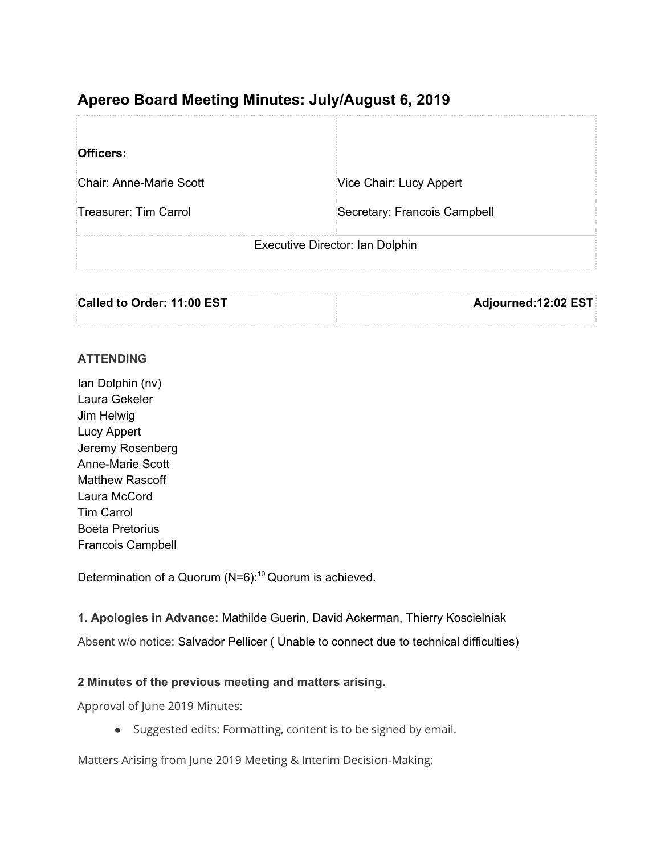# **Apereo Board Meeting Minutes: July/August 6, 2019**

| Officers:                       |                              |
|---------------------------------|------------------------------|
| Chair: Anne-Marie Scott         | Vice Chair: Lucy Appert      |
| Treasurer: Tim Carrol           | Secretary: Francois Campbell |
| Executive Director: Ian Dolphin |                              |

| Called to Order: 11:00 EST | Adjourned:12:02 EST |
|----------------------------|---------------------|
|                            |                     |

#### **ATTENDING**

Ian Dolphin (nv) Laura Gekeler Jim Helwig Lucy Appert Jeremy Rosenberg Anne-Marie Scott Matthew Rascoff Laura McCord Tim Carrol Boeta Pretorius Francois Campbell

Determination of a Quorum (N=6): <sup>10</sup> Quorum is achieved.

**1. Apologies in Advance:** Mathilde Guerin, David Ackerman, Thierry Koscielniak

Absent w/o notice: Salvador Pellicer ( Unable to connect due to technical difficulties)

#### **2 Minutes of the previous meeting and matters arising.**

Approval of June 2019 Minutes:

● Suggested edits: Formatting, content is to be signed by email.

Matters Arising from June 2019 Meeting & Interim Decision-Making: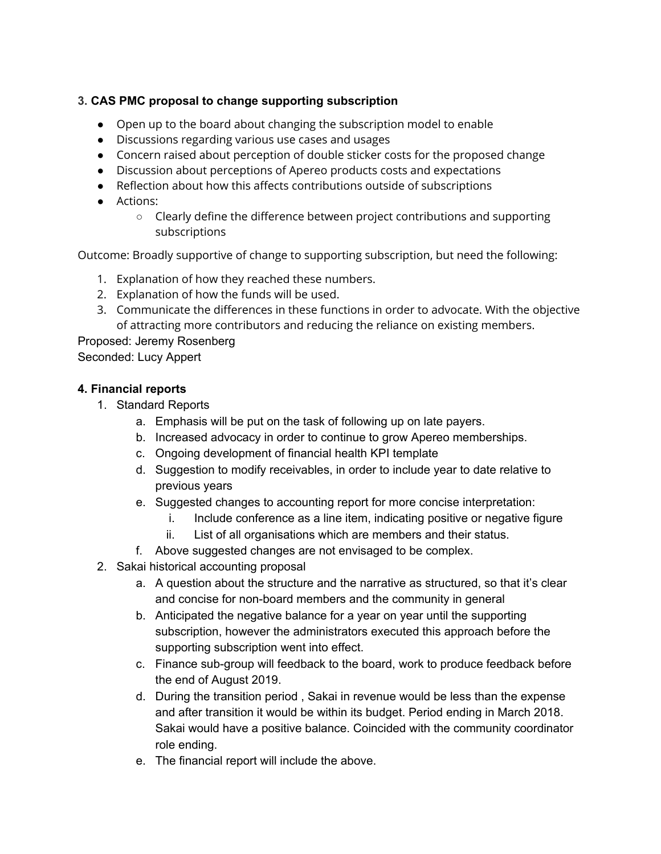# **3. CAS PMC proposal to change supporting subscription**

- Open up to the board about changing the subscription model to enable
- Discussions regarding various use cases and usages
- Concern raised about perception of double sticker costs for the proposed change
- Discussion about perceptions of Apereo products costs and expectations
- Reflection about how this affects contributions outside of subscriptions
- Actions:
	- Clearly define the difference between project contributions and supporting subscriptions

Outcome: Broadly supportive of change to supporting subscription, but need the following:

- 1. Explanation of how they reached these numbers.
- 2. Explanation of how the funds will be used.
- 3. Communicate the differences in these functions in order to advocate. With the objective of attracting more contributors and reducing the reliance on existing members.

Proposed: Jeremy Rosenberg Seconded: Lucy Appert

## **4. Financial reports**

- 1. Standard Reports
	- a. Emphasis will be put on the task of following up on late payers.
	- b. Increased advocacy in order to continue to grow Apereo memberships.
	- c. Ongoing development of financial health KPI template
	- d. Suggestion to modify receivables, in order to include year to date relative to previous years
	- e. Suggested changes to accounting report for more concise interpretation:
		- i. Include conference as a line item, indicating positive or negative figure
		- ii. List of all organisations which are members and their status.
	- f. Above suggested changes are not envisaged to be complex.
- 2. Sakai historical accounting proposal
	- a. A question about the structure and the narrative as structured, so that it's clear and concise for non-board members and the community in general
	- b. Anticipated the negative balance for a year on year until the supporting subscription, however the administrators executed this approach before the supporting subscription went into effect.
	- c. Finance sub-group will feedback to the board, work to produce feedback before the end of August 2019.
	- d. During the transition period , Sakai in revenue would be less than the expense and after transition it would be within its budget. Period ending in March 2018. Sakai would have a positive balance. Coincided with the community coordinator role ending.
	- e. The financial report will include the above.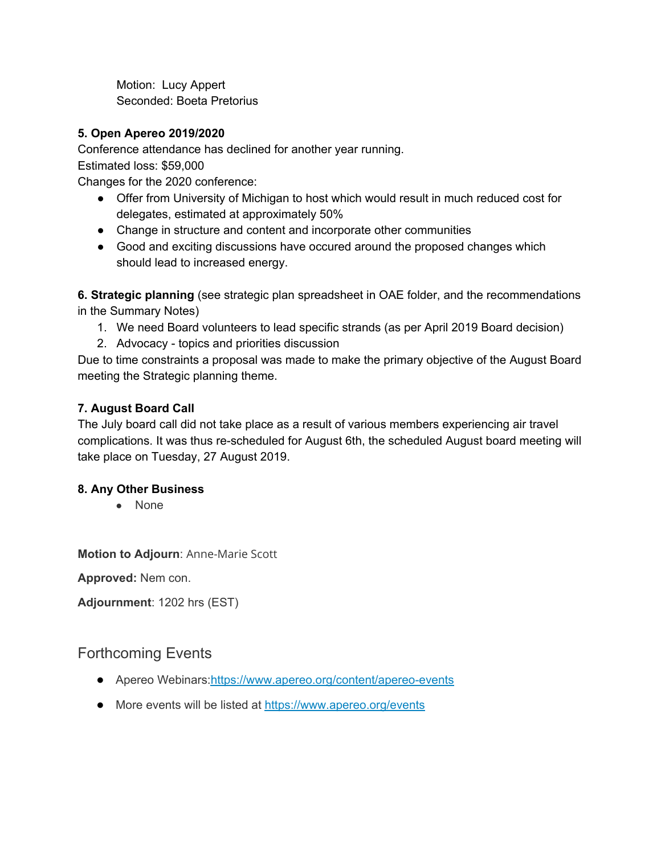Motion: Lucy Appert Seconded: Boeta Pretorius

# **5. Open Apereo 2019/2020**

Conference attendance has declined for another year running.

Estimated loss: \$59,000

Changes for the 2020 conference:

- Offer from University of Michigan to host which would result in much reduced cost for delegates, estimated at approximately 50%
- Change in structure and content and incorporate other communities
- Good and exciting discussions have occured around the proposed changes which should lead to increased energy.

**6. Strategic planning** (see strategic plan spreadsheet in OAE folder, and the recommendations in the Summary Notes)

- 1. We need Board volunteers to lead specific strands (as per April 2019 Board decision)
- 2. Advocacy topics and priorities discussion

Due to time constraints a proposal was made to make the primary objective of the August Board meeting the Strategic planning theme.

# **7. August Board Call**

The July board call did not take place as a result of various members experiencing air travel complications. It was thus re-scheduled for August 6th, the scheduled August board meeting will take place on Tuesday, 27 August 2019.

## **8. Any Other Business**

● None

**Motion to Adjourn**: Anne-Marie Scott

**Approved:** Nem con.

**Adjournment**: 1202 hrs (EST)

# Forthcoming Events

- Apereo Webinars[:https://www.apereo.org/content/apereo-events](https://www.apereo.org/content/apereo-events)
- More events will be listed at <https://www.apereo.org/events>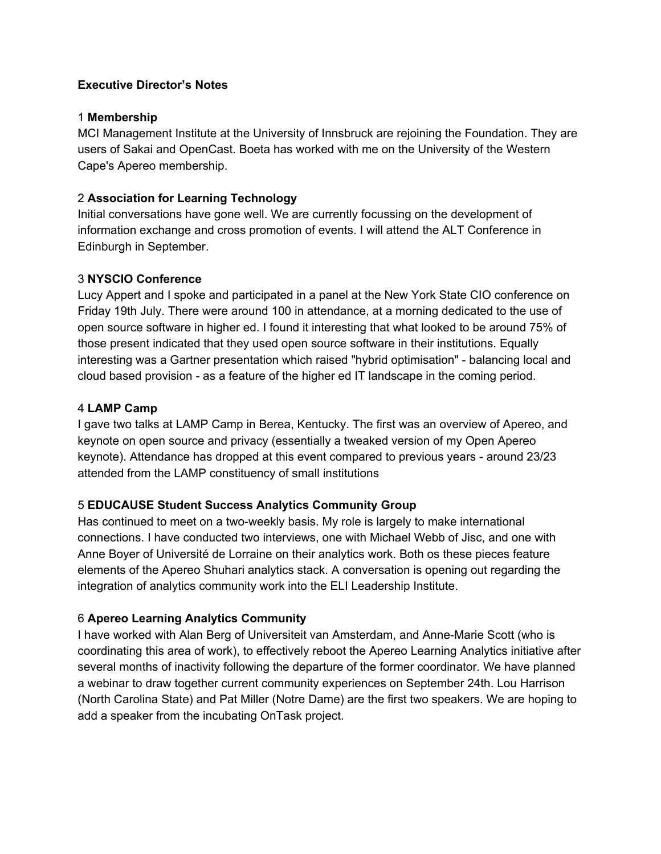#### **Executive Director's Notes**

#### 1 **Membership**

MCI Management Institute at the University of Innsbruck are rejoining the Foundation. They are users of Sakai and OpenCast. Boeta has worked with me on the University of the Western Cape's Apereo membership.

### 2 **Association for Learning Technology**

Initial conversations have gone well. We are currently focussing on the development of information exchange and cross promotion of events. I will attend the ALT Conference in Edinburgh in September.

#### 3 **NYSCIO Conference**

Lucy Appert and I spoke and participated in a panel at the New York State CIO conference on Friday 19th July. There were around 100 in attendance, at a morning dedicated to the use of open source software in higher ed. I found it interesting that what looked to be around 75% of those present indicated that they used open source software in their institutions. Equally interesting was a Gartner presentation which raised "hybrid optimisation" - balancing local and cloud based provision - as a feature of the higher ed IT landscape in the coming period.

#### 4 **LAMP Camp**

I gave two talks at LAMP Camp in Berea, Kentucky. The first was an overview of Apereo, and keynote on open source and privacy (essentially a tweaked version of my Open Apereo keynote). Attendance has dropped at this event compared to previous years - around 23/23 attended from the LAMP constituency of small institutions

## 5 **EDUCAUSE Student Success Analytics Community Group**

Has continued to meet on a two-weekly basis. My role is largely to make international connections. I have conducted two interviews, one with Michael Webb of Jisc, and one with Anne Boyer of Université de Lorraine on their analytics work. Both os these pieces feature elements of the Apereo Shuhari analytics stack. A conversation is opening out regarding the integration of analytics community work into the ELI Leadership Institute.

#### 6 **Apereo Learning Analytics Community**

I have worked with Alan Berg of Universiteit van Amsterdam, and Anne-Marie Scott (who is coordinating this area of work), to effectively reboot the Apereo Learning Analytics initiative after several months of inactivity following the departure of the former coordinator. We have planned a webinar to draw together current community experiences on September 24th. Lou Harrison (North Carolina State) and Pat Miller (Notre Dame) are the first two speakers. We are hoping to add a speaker from the incubating OnTask project.